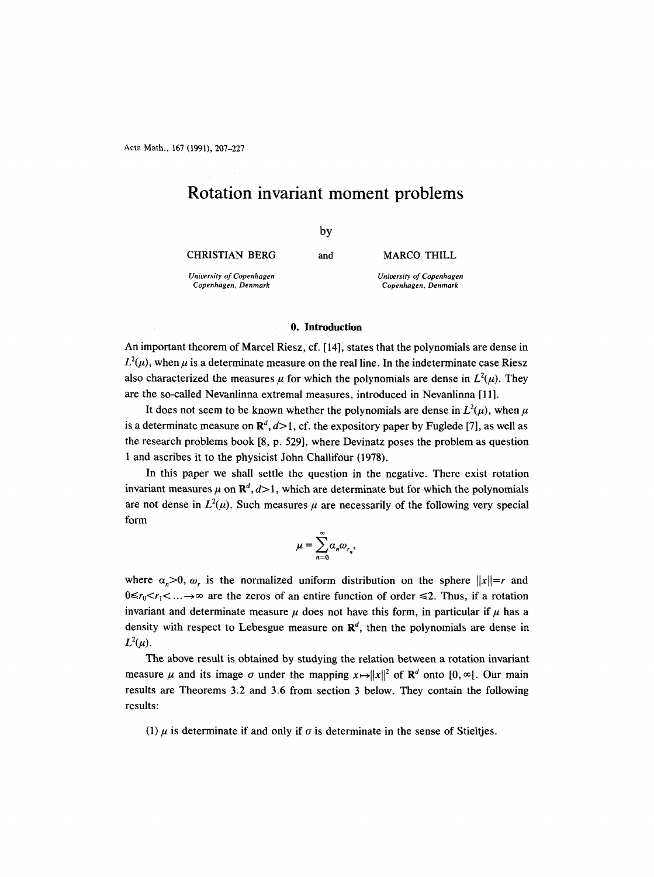Acta Math., 167 (1991), 207-227

# **Rotation invariant moment problems**

by

CHRISTIAN BERG

and MARCO THILL

*University of Copenhagen Copenhagen, Denmark* 

*University of Copenhagen* 

*Copenhagen, Denmark* 

#### **0. Introduction**

An important theorem of Marcel Riesz, cf. [14], states that the polynomials are dense in  $L^2(\mu)$ , when  $\mu$  is a determinate measure on the real line. In the indeterminate case Riesz also characterized the measures  $\mu$  for which the polynomials are dense in  $L^2(\mu)$ . They are the so-called Nevanlinna extremal measures, introduced in Nevanlinna [11].

It does not seem to be known whether the polynomials are dense in  $L^2(\mu)$ , when  $\mu$ is a determinate measure on  $\mathbb{R}^d$ ,  $d>1$ , cf. the expository paper by Fuglede [7], as well as the research problems book [8, p. 529], where Devinatz poses the problem as question 1 and ascribes it to the physicist John Challifour (1978).

In this paper we shall settle the question in the negative. There exist rotation invariant measures  $\mu$  on  $\mathbb{R}^d$ ,  $d>1$ , which are determinate but for which the polynomials are not dense in  $L^2(\mu)$ . Such measures  $\mu$  are necessarily of the following very special form

$$
\mu = \sum_{n=0}^{\infty} \alpha_n \omega_{r_n},
$$

where  $\alpha_n>0$ ,  $\omega_r$  is the normalized uniform distribution on the sphere  $||x||=r$  and  $0 \le r_0 \le r_1 \le \dots \to \infty$  are the zeros of an entire function of order  $\le 2$ . Thus, if a rotation invariant and determinate measure  $\mu$  does not have this form, in particular if  $\mu$  has a density with respect to Lebesgue measure on  $\mathbb{R}^d$ , then the polynomials are dense in  $L^2(\mu)$ .

The above result is obtained by studying the relation between a rotation invariant measure  $\mu$  and its image  $\sigma$  under the mapping  $x \mapsto ||x||^2$  of  $\mathbb{R}^d$  onto  $[0, \infty)$ . Our main results are Theorems 3.2 and 3.6 from section 3 below. They contain the following results:

(1)  $\mu$  is determinate if and only if  $\sigma$  is determinate in the sense of Stieltjes.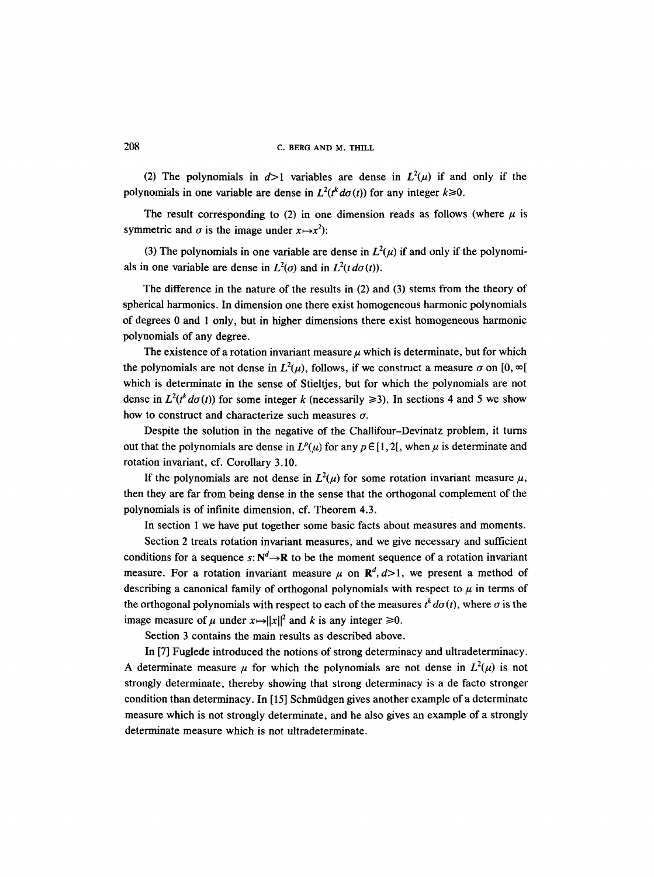# 208 C. BERG AND M. THILL

(2) The polynomials in  $d>1$  variables are dense in  $L^2(\mu)$  if and only if the polynomials in one variable are dense in  $L^2(t^k d\sigma(t))$  for any integer  $k \ge 0$ .

The result corresponding to (2) in one dimension reads as follows (where  $\mu$  is symmetric and  $\sigma$  is the image under  $x \mapsto x^2$ :

(3) The polynomials in one variable are dense in  $L^2(\mu)$  if and only if the polynomials in one variable are dense in  $L^2(\sigma)$  and in  $L^2(t \, d\sigma(t))$ .

The difference in the nature of the results in (2) and (3) stems from the theory of spherical harmonics. In dimension one there exist homogeneous harmonic polynomials of degrees 0 and 1 only, but in higher dimensions there exist homogeneous harmonic polynomials of any degree.

The existence of a rotation invariant measure  $\mu$  which is determinate, but for which the polynomials are not dense in  $L^2(\mu)$ , follows, if we construct a measure  $\sigma$  on [0,  $\infty$ [ which is determinate in the sense of Stieltjes, but for which the polynomials are not dense in  $L^2(t^k d\sigma(t))$  for some integer k (necessarily  $\geq 3$ ). In sections 4 and 5 we show how to construct and characterize such measures  $\sigma$ .

Despite the solution in the negative of the Challifour-Devinatz problem, it turns out that the polynomials are dense in  $L^p(\mu)$  for any  $p \in [1, 2]$ , when  $\mu$  is determinate and rotation invariant, cf. Corollary 3.10.

If the polynomials are not dense in  $L^2(\mu)$  for some rotation invariant measure  $\mu$ , then they are far from being dense in the sense that the orthogonal complement of the polynomials is of infinite dimension, cf. Theorem 4.3.

In section 1 we have put together some basic facts about measures and moments.

Section 2 treats rotation invariant measures, and we give necessary and sufficient conditions for a sequence  $s: \mathbb{N}^d \to \mathbb{R}$  to be the moment sequence of a rotation invariant measure. For a rotation invariant measure  $\mu$  on  $\mathbb{R}^d$ ,  $d>1$ , we present a method of describing a canonical family of orthogonal polynomials with respect to  $\mu$  in terms of the orthogonal polynomials with respect to each of the measures  $t^k d\sigma(t)$ , where  $\sigma$  is the image measure of  $\mu$  under  $x \mapsto ||x||^2$  and k is any integer  $\ge 0$ .

Section 3 contains the main results as described above.

In [7] Fuglede introduced the notions of strong determinacy and ultradeterminacy. A determinate measure  $\mu$  for which the polynomials are not dense in  $L^2(\mu)$  is not strongly determinate, thereby showing that strong determinacy is a de facto stronger condition than determinacy. In [15] Schmüdgen gives another example of a determinate measure which is not strongly determinate, and he also gives an example of a strongly determinate measure which is not ultradeterminate.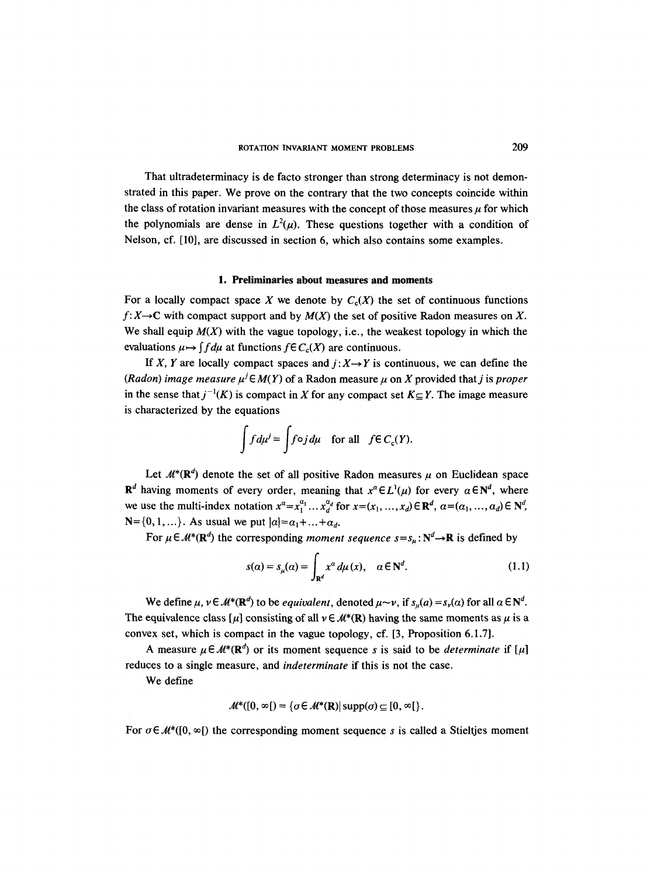That ultradeterminacy is de facto stronger than strong determinacy is not demonstrated in this paper. We prove on the contrary that the two concepts coincide within the class of rotation invariant measures with the concept of those measures  $\mu$  for which the polynomials are dense in  $L^2(u)$ . These questions together with a condition of Nelson, cf. [10], are discussed in section 6, which also contains some examples.

### **1. Preliminaries about measures and moments**

For a locally compact space X we denote by  $C_c(X)$  the set of continuous functions  $f: X \to \mathbb{C}$  with compact support and by  $M(X)$  the set of positive Radon measures on X. We shall equip  $M(X)$  with the vague topology, i.e., the weakest topology in which the evaluations  $\mu \mapsto \int f d\mu$  at functions  $f \in C_c(X)$  are continuous.

If X, Y are locally compact spaces and  $j: X \rightarrow Y$  is continuous, we can define the *(Radon) image measure*  $\mu^{j} \in M(Y)$  of a Radon measure  $\mu$  on X provided that j is *proper* in the sense that  $j^{-1}(K)$  is compact in X for any compact set  $K \subseteq Y$ . The image measure is characterized by the equations

$$
\int f d\mu^{j} = \int f \circ j d\mu \quad \text{for all} \quad f \in C_c(Y).
$$

Let  $M^*(\mathbb{R}^d)$  denote the set of all positive Radon measures  $\mu$  on Euclidean space  $\mathbb{R}^d$  having moments of every order, meaning that  $x^{\alpha} \in L^1(\mu)$  for every  $\alpha \in \mathbb{N}^d$ , where we use the multi-index notation  $x^a = x_1^{a_1} \dots x_d^{a_d}$  for  $x = (x_1, \dots, x_d) \in \mathbb{R}^d$ ,  $a = (a_1, \dots, a_d) \in \mathbb{N}^d$ ,  $N = \{0, 1, ...\}$ . As usual we put  $|a| = \alpha_1 + ... + \alpha_d$ .

For  $\mu \in \mathcal{M}^*(\mathbb{R}^d)$  the corresponding *moment sequence*  $s = s_{\mu}: \mathbb{N}^d \to \mathbb{R}$  is defined by

$$
s(\alpha) = s_{\mu}(\alpha) = \int_{\mathbb{R}^d} x^{\alpha} d\mu(x), \quad \alpha \in \mathbb{N}^d.
$$
 (1.1)

We define  $\mu$ ,  $\nu \in M^*(\mathbb{R}^d)$  to be *equivalent*, denoted  $\mu \sim \nu$ , if  $s_u(a) = s_v(a)$  for all  $\alpha \in \mathbb{N}^d$ . The equivalence class [ $\mu$ ] consisting of all  $\nu \in M^*(\mathbb{R})$  having the same moments as  $\mu$  is a convex set, which is compact in the vague topology, cf. [3, Proposition 6.1.7].

A measure  $\mu \in \mathcal{M}^*(\mathbb{R}^d)$  or its moment sequence s is said to be *determinate* if  $[\mu]$ reduces to a single measure, and *indeterminate* if this is not the case.

We define

$$
\mathcal{M}^*([0,\infty[)=\{\sigma\in\mathcal{M}^*(\mathbf{R})|\text{supp}(\sigma)\subseteq[0,\infty[\}].
$$

For  $\sigma \in \mathcal{M}^*([0, \infty])$  the corresponding moment sequence s is called a Stieltjes moment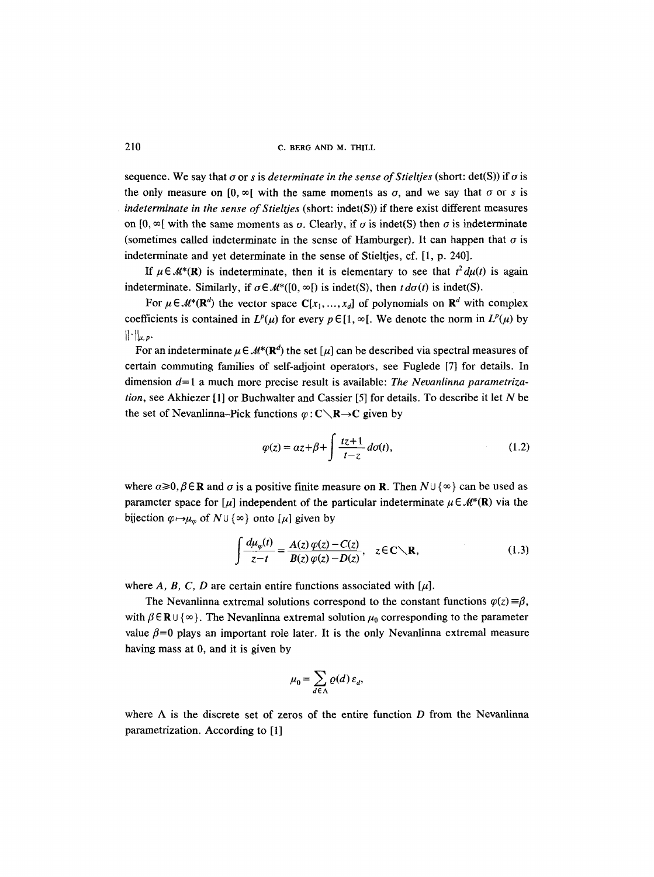sequence. We say that  $\sigma$  or s is *determinate in the sense of Stieltjes* (short: det(S)) if  $\sigma$  is the only measure on  $[0, \infty)$  with the same moments as  $\sigma$ , and we say that  $\sigma$  or s is *indeterminate in the sense of Stieltjes* (short: indet(S)) if there exist different measures on  $[0, \infty)$  with the same moments as  $\sigma$ . Clearly, if  $\sigma$  is indet(S) then  $\sigma$  is indeterminate (sometimes called indeterminate in the sense of Hamburger). It can happen that  $\sigma$  is indeterminate and yet determinate in the sense of Stieltjes, cf. [1, p. 240].

If  $\mu \in \mathcal{M}^*(\mathbf{R})$  is indeterminate, then it is elementary to see that  $t^2 d\mu(t)$  is again indeterminate. Similarly, if  $\sigma \in \mathcal{M}^*([0, \infty])$  is indet(S), then  $td\sigma(t)$  is indet(S).

For  $\mu \in \mathcal{M}^*(\mathbb{R}^d)$  the vector space  $C[x_1, ..., x_d]$  of polynomials on  $\mathbb{R}^d$  with complex coefficients is contained in  $L^p(\mu)$  for every  $p \in [1, \infty)$ . We denote the norm in  $L^p(\mu)$  by  $\|\cdot\|_{u,p}$ .

For an indeterminate  $\mu \in M^*(\mathbb{R}^d)$  the set  $[\mu]$  can be described via spectral measures of certain commuting families of self-adjoint operators, see Fuglede [7] for details. In dimension d= 1 a much more precise result is available: *The Nevanlinna parametrization,* see Akhiezer [1] or Buchwalter and Cassier [5] for details. To describe it let N be the set of Nevanlinna-Pick functions  $\varphi : C \setminus \mathbb{R} \to C$  given by

$$
\varphi(z) = \alpha z + \beta + \int \frac{tz + 1}{t - z} d\sigma(t),\tag{1.2}
$$

where  $\alpha \geq 0$ ,  $\beta \in \mathbb{R}$  and  $\sigma$  is a positive finite measure on R. Then  $N \cup \{\infty\}$  can be used as parameter space for [ $\mu$ ] independent of the particular indeterminate  $\mu \in M^*(\mathbb{R})$  via the bijection  $\varphi \mapsto \mu_{\varphi}$  of  $N \cup \{ \infty \}$  onto  $[\mu]$  given by

$$
\int \frac{d\mu_{\varphi}(t)}{z-t} = \frac{A(z)\,\varphi(z) - C(z)}{B(z)\,\varphi(z) - D(z)}, \quad z \in \mathbb{C} \setminus \mathbb{R}, \tag{1.3}
$$

where  $A$ ,  $B$ ,  $C$ ,  $D$  are certain entire functions associated with  $[\mu]$ .

The Nevanlinna extremal solutions correspond to the constant functions  $\varphi(z) \equiv \beta$ , with  $\beta \in \mathbb{R} \cup \{\infty\}$ . The Nevanlinna extremal solution  $\mu_0$  corresponding to the parameter value  $\beta=0$  plays an important role later. It is the only Nevanlinna extremal measure having mass at 0, and it is given by

$$
\mu_0 = \sum_{d \in \Lambda} \varrho(d) \, \varepsilon_d,
$$

where  $\Lambda$  is the discrete set of zeros of the entire function D from the Nevanlinna parametrization. According to [1]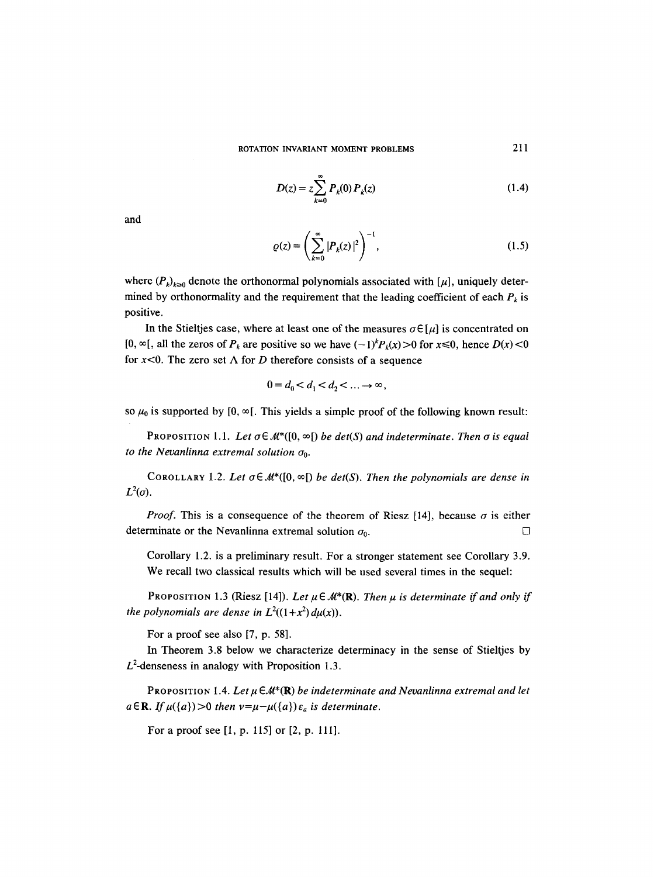$$
D(z) = z \sum_{k=0}^{\infty} P_k(0) P_k(z)
$$
 (1.4)

and

$$
\varrho(z) = \left(\sum_{k=0}^{\infty} |P_k(z)|^2\right)^{-1},\tag{1.5}
$$

where  $(P_k)_{k\geq 0}$  denote the orthonormal polynomials associated with [ $\mu$ ], uniquely determined by orthonormality and the requirement that the leading coefficient of each  $P_k$  is positive.

In the Stieltjes case, where at least one of the measures  $\sigma \in [\mu]$  is concentrated on  $[0, \infty)$ , all the zeros of  $P_k$  are positive so we have  $(-1)^k P_k(x) > 0$  for  $x \le 0$ , hence  $D(x) < 0$ for  $x<0$ . The zero set  $\Lambda$  for D therefore consists of a sequence

$$
0=d_0 < d_1 < d_2 < \ldots \to \infty,
$$

so  $\mu_0$  is supported by [0,  $\infty$ [. This yields a simple proof of the following known result:

PROPOSITION 1.1. Let  $\sigma \in \mathcal{M}^*([0,\infty])$  *be det(S) and indeterminate. Then*  $\sigma$  *is equal to the Nevanlinna extremal solution Oo.* 

COROLLARY 1.2. Let  $\sigma \in \mathcal{M}^*([0, \infty])$  be det(S). Then the polynomials are dense in  $L^2(\sigma)$ .

*Proof.* This is a consequence of the theorem of Riesz [14], because  $\sigma$  is either determinate or the Nevanlinna extremal solution  $\sigma_0$ .

Corollary 1.2. is a preliminary result. For a stronger statement see Corollary 3.9. We recall two classical results which will be used several times in the sequel:

PROPOSITION 1.3 (Riesz [14]). Let  $\mu \in M^*(\mathbf{R})$ . *Then*  $\mu$  is determinate if and only if *the polynomials are dense in*  $L^2((1+x^2) d\mu(x))$ .

For a proof see also [7, p. 58].

In Theorem 3.8 below we characterize determinacy in the sense of Stieltjes by  $L^2$ -denseness in analogy with Proposition 1.3.

PROPOSITION 1.4. Let  $\mu \in \mathcal{M}^*(\mathbf{R})$  *be indeterminate and Nevanlinna extremal and let*  $a \in \mathbb{R}$ . If  $\mu({a})>0$  then  $\nu=\mu-\mu({a})\varepsilon_a$  is determinate.

For a proof see [1, p. 115] or [2, p. 111].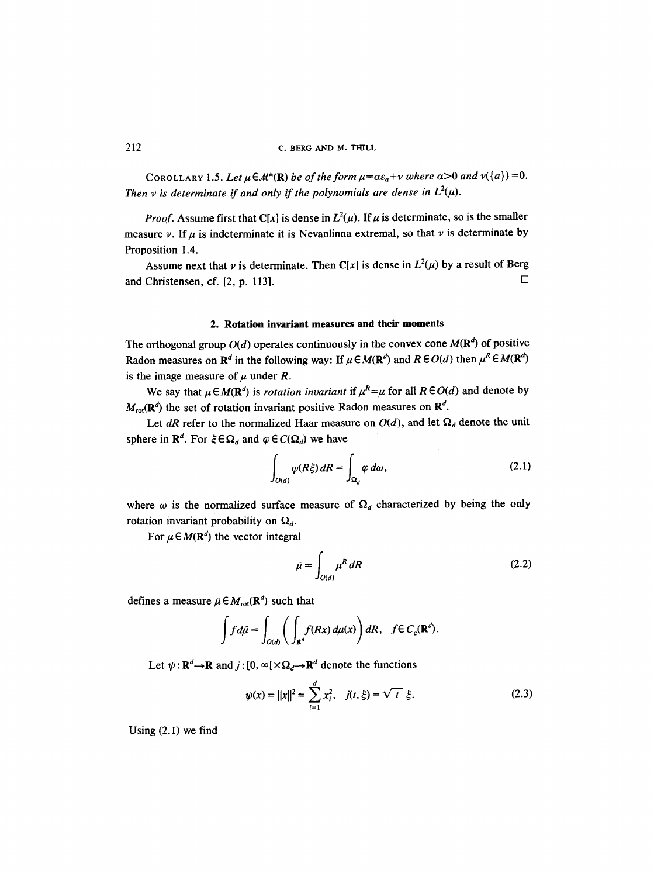COROLLARY 1.5. Let  $\mu \in M^*(\mathbb{R})$  *be of the form*  $\mu = \alpha \varepsilon_a + \nu$  where  $\alpha > 0$  *and*  $\nu({a}) = 0$ . *Then v is determinate if and only if the polynomials are dense in*  $L^2(\mu)$ .

*Proof.* Assume first that C[x] is dense in  $L^2(\mu)$ . If  $\mu$  is determinate, so is the smaller measure v. If  $\mu$  is indeterminate it is Nevanlinna extremal, so that v is determinate by Proposition 1.4.

Assume next that v is determinate. Then C[x] is dense in  $L^2(\mu)$  by a result of Berg and Christensen, cf. [2, p. 113].  $\Box$ 

#### **2. Rotation invariant measures and their moments**

The orthogonal group  $O(d)$  operates continuously in the convex cone  $M(\mathbb{R}^d)$  of positive Radon measures on  $\mathbb{R}^d$  in the following way: If  $\mu \in M(\mathbb{R}^d)$  and  $R \in O(d)$  then  $\mu^R \in M(\mathbb{R}^d)$ is the image measure of  $\mu$  under R.

We say that  $\mu \in M(\mathbb{R}^d)$  is *rotation invariant* if  $\mu^R = \mu$  for all  $R \in O(d)$  and denote by  $M_{\text{rot}}(\mathbf{R}^d)$  the set of rotation invariant positive Radon measures on  $\mathbf{R}^d$ .

Let *dR* refer to the normalized Haar measure on  $O(d)$ , and let  $\Omega_d$  denote the unit sphere in  $\mathbf{R}^d$ . For  $\xi \in \Omega_d$  and  $\varphi \in C(\Omega_d)$  we have

$$
\int_{O(d)} \varphi(R\xi) dR = \int_{\Omega_d} \varphi d\omega, \qquad (2.1)
$$

where  $\omega$  is the normalized surface measure of  $\Omega_d$  characterized by being the only rotation invariant probability on  $\Omega_d$ .

For  $\mu \in M(\mathbb{R}^d)$  the vector integral

$$
\tilde{\mu} = \int_{O(d)} \mu^R dR \tag{2.2}
$$

defines a measure  $\tilde{\mu} \in M_{rot}(\mathbf{R}^d)$  such that

$$
\int f d\tilde{\mu} = \int_{O(d)} \bigg( \int_{\mathbf{R}^d} f(Rx) \, d\mu(x) \bigg) \, dR, \quad f \in C_c(\mathbf{R}^d).
$$

Let  $\psi : \mathbf{R}^d \to \mathbf{R}$  and  $j : [0, \infty[\times \Omega_d \to \mathbf{R}^d]$  denote the functions

$$
\psi(x) = ||x||^2 = \sum_{i=1}^d x_i^2, \quad j(t, \xi) = \sqrt{t} \xi.
$$
 (2.3)

Using (2.1) we find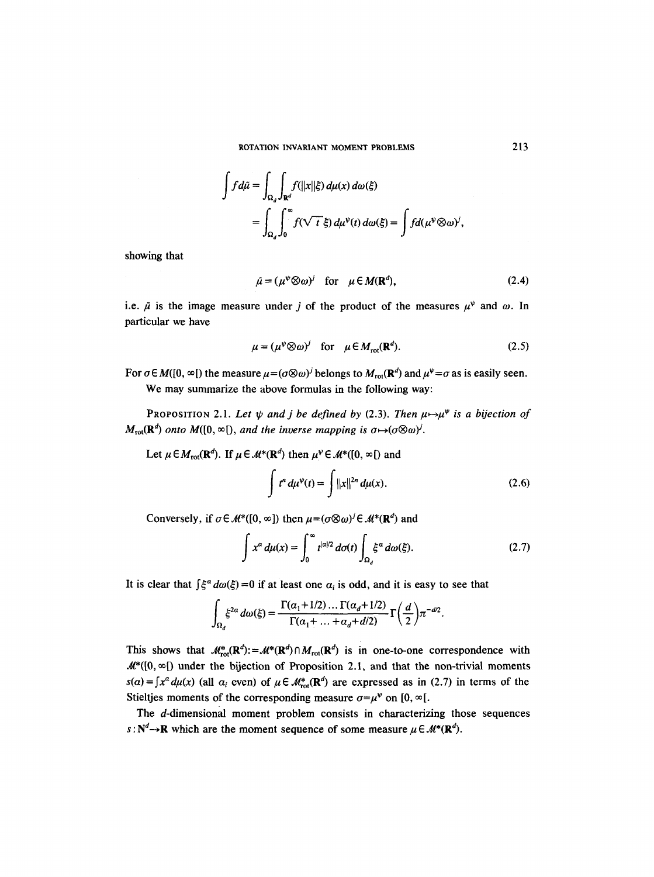$$
\int f d\tilde{\mu} = \int_{\Omega_d} \int_{\mathbf{R}^d} f(||x||\xi) d\mu(x) d\omega(\xi)
$$
  
= 
$$
\int_{\Omega_d} \int_0^{\infty} f(\sqrt{t} \xi) d\mu^{\psi}(t) d\omega(\xi) = \int f d(\mu^{\psi} \otimes \omega)^j,
$$

showing that

$$
\tilde{\mu} = (\mu^{\psi} \otimes \omega)^{j} \quad \text{for} \quad \mu \in M(\mathbf{R}^{d}), \tag{2.4}
$$

i.e.  $\bar{\mu}$  is the image measure under j of the product of the measures  $\mu^{\psi}$  and  $\omega$ . In particular we have

$$
\mu = (\mu^{\psi} \otimes \omega)^{j} \quad \text{for} \quad \mu \in M_{\text{rot}}(\mathbf{R}^{d}). \tag{2.5}
$$

For  $\sigma \in M([0, \infty[))$  the measure  $\mu = (\sigma \otimes \omega)^j$  belongs to  $M_{\text{rot}}(\mathbb{R}^d)$  and  $\mu^{\psi} = \sigma$  as is easily seen. We may summarize the above formulas in the following way:

PROPOSITION 2.1. Let  $\psi$  and j be defined by (2.3). Then  $\mu \mapsto \mu^{\psi}$  is a bijection of  $M_{\text{rot}}(\mathbf{R}^d)$  *onto*  $M([0, \infty])$ , and the inverse mapping is  $\sigma \mapsto (\sigma \otimes \omega)^j$ .

Let  $\mu \in M_{rot}(\mathbf{R}^d)$ . If  $\mu \in M^*(\mathbf{R}^d)$  then  $\mu^{\psi} \in M^*([0, \infty])$  and

$$
\int t^n \, d\mu^{\psi}(t) = \int ||x||^{2n} \, d\mu(x). \tag{2.6}
$$

Conversely, if  $\sigma \in \mathcal{M}^*([0, \infty])$  then  $\mu = (\sigma \otimes \omega)^j \in \mathcal{M}^*({\bf R}^d)$  and

$$
\int x^{\alpha} d\mu(x) = \int_0^{\infty} t^{|\alpha|/2} d\sigma(t) \int_{\Omega_d} \xi^{\alpha} d\omega(\xi). \tag{2.7}
$$

It is clear that  $\int \xi^{\alpha} d\omega(\xi) = 0$  if at least one  $\alpha_i$  is odd, and it is easy to see that

$$
\int_{\Omega_d} \xi^{2\alpha} d\omega(\xi) = \frac{\Gamma(\alpha_1 + 1/2) \dots \Gamma(\alpha_d + 1/2)}{\Gamma(\alpha_1 + \dots + \alpha_d + d/2)} \Gamma\left(\frac{d}{2}\right) \pi^{-d/2}.
$$

This shows that  $\mathcal{M}^*_{\text{rot}}(\mathbf{R}^d):=\mathcal{M}^*(\mathbf{R}^d)\cap M_{\text{rot}}(\mathbf{R}^d)$  is in one-to-one correspondence with  $M^*([0, \infty])$  under the bijection of Proposition 2.1, and that the non-trivial moments  $s(a) = \int x^a d\mu(x)$  (all  $\alpha_i$  even) of  $\mu \in M^*_{rot}(\mathbb{R}^d)$  are expressed as in (2.7) in terms of the Stieltjes moments of the corresponding measure  $\sigma = \mu^{\psi}$  on [0,  $\infty$ [.

The d-dimensional moment problem consists in characterizing those sequences  $s : N^d \to \mathbb{R}$  which are the moment sequence of some measure  $\mu \in \mathcal{M}^*(\mathbb{R}^d)$ .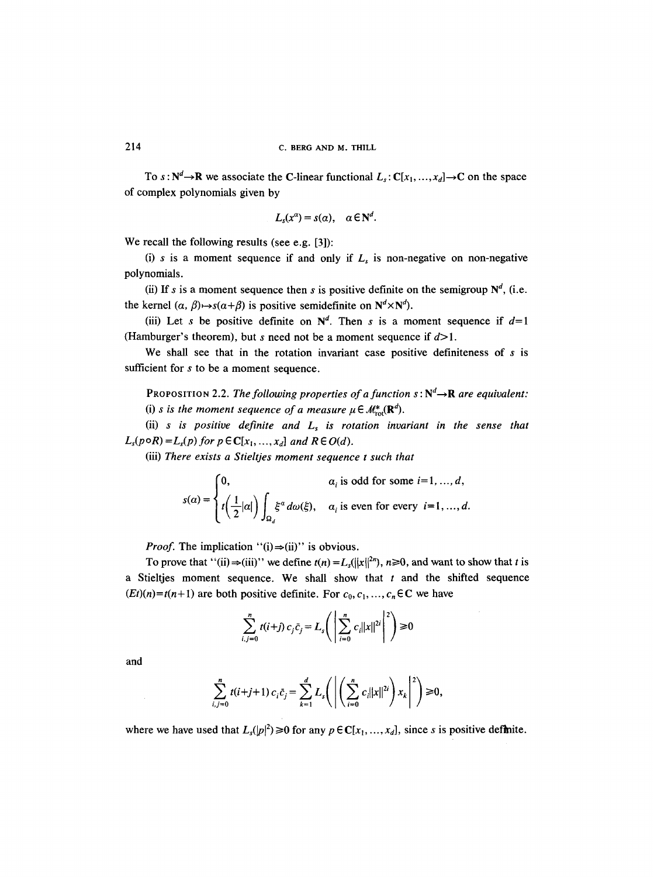To  $s : \mathbb{N}^d \to \mathbb{R}$  we associate the C-linear functional  $L_s : \mathbb{C}[x_1, ..., x_d] \to \mathbb{C}$  on the space of complex polynomials given by

$$
L_s(x^{\alpha})=s(\alpha), \quad \alpha\in\mathbb{N}^d.
$$

We recall the following results (see e.g. [3]):

(i) s is a moment sequence if and only if  $L<sub>s</sub>$  is non-negative on non-negative polynomials.

(ii) If s is a moment sequence then s is positive definite on the semigroup  $N^d$ , (i.e. the kernel  $(\alpha, \beta) \mapsto s(\alpha+\beta)$  is positive semidefinite on  $N^d \times N^d$ .

(iii) Let s be positive definite on  $N<sup>d</sup>$ . Then s is a moment sequence if  $d=1$ (Hamburger's theorem), but s need not be a moment sequence if  $d>1$ .

We shall see that in the rotation invariant case positive definiteness of  $s$  is sufficient for s to be a moment sequence.

PROPOSITION 2.2. *The following properties of a function*  $s : N^d \rightarrow \mathbf{R}$  *are equivalent:* (i) *s is the moment sequence of a measure*  $\mu \in M_{\text{rot}}^*(\mathbb{R}^d)$ .

(ii)  $s$  is positive definite and  $L<sub>s</sub>$  is rotation invariant in the sense that  $L_s(p \circ R) = L_s(p)$  *for p*  $\in \mathbb{C}[x_1, ..., x_d]$  *and*  $R \in O(d)$ *.* 

(iii) *There exists a Stieltjes moment sequence t such that* 

$$
s(\alpha) = \begin{cases} 0, & \alpha_i \text{ is odd for some } i = 1, ..., d, \\ t\left(\frac{1}{2}|\alpha|\right) \int_{\Omega_d} \xi^{\alpha} d\omega(\xi), & \alpha_i \text{ is even for every } i = 1, ..., d. \end{cases}
$$

*Proof.* The implication "(i) $\Rightarrow$ (ii)" is obvious.

To prove that "(ii)  $\Rightarrow$ (iii)" we define  $t(n) = L_s(||x||^{2n})$ ,  $n \ge 0$ , and want to show that t is a Stieltjes moment sequence. We shall show that  $t$  and the shifted sequence  $(Et)(n) = t(n+1)$  are both positive definite. For  $c_0, c_1, ..., c_n \in \mathbb{C}$  we have

$$
\sum_{i,j=0}^{n} t(i+j) c_j \bar{c}_j = L_s \Bigg( \left| \sum_{i=0}^{n} c_i ||x||^{2i} \right|^2 \Bigg) \ge 0
$$

and

$$
\sum_{i,j=0}^n t(i+j+1) c_i \bar{c}_j = \sum_{k=1}^d L_s \Biggl( \left| \left( \sum_{i=0}^n c_i ||x||^{2i} \right) x_k \right|^2 \Biggr) \geq 0,
$$

where we have used that  $L_s(|p|^2) \ge 0$  for any  $p \in \mathbb{C}[x_1, ..., x_d]$ , since s is positive definite.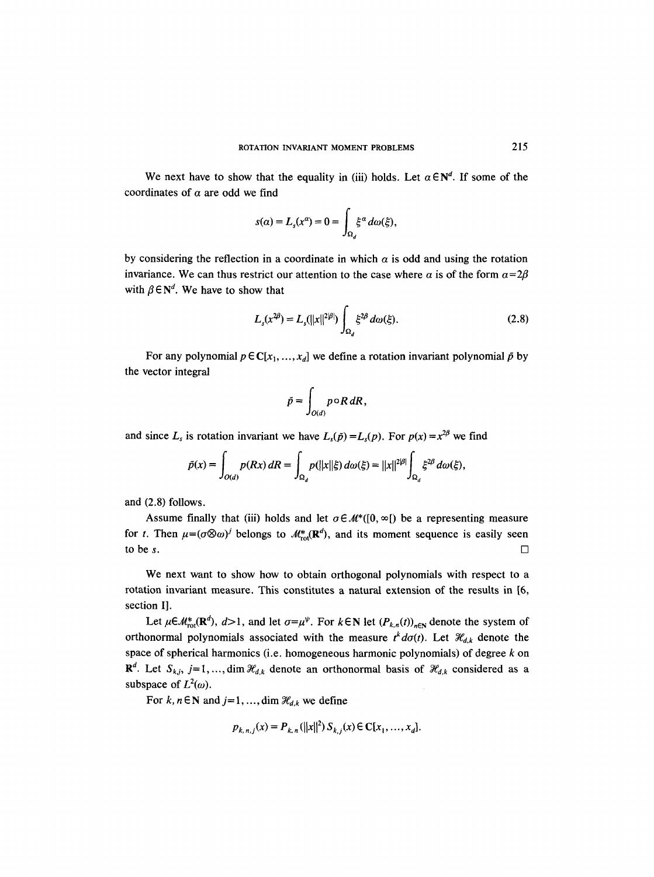We next have to show that the equality in (iii) holds. Let  $\alpha \in \mathbb{N}^d$ . If some of the coordinates of  $\alpha$  are odd we find

$$
s(\alpha) = L_s(x^{\alpha}) = 0 = \int_{\Omega_d} \xi^{\alpha} d\omega(\xi),
$$

by considering the reflection in a coordinate in which  $\alpha$  is odd and using the rotation invariance. We can thus restrict our attention to the case where  $\alpha$  is of the form  $\alpha=2\beta$ with  $\beta \in N^d$ . We have to show that

$$
L_s(x^{2\beta}) = L_s(||x||^{2|\beta|}) \int_{\Omega_d} \xi^{2\beta} d\omega(\xi).
$$
 (2.8)

For any polynomial  $p \in \mathbb{C}[x_1, ..., x_d]$  we define a rotation invariant polynomial  $\tilde{p}$  by the vector integral

$$
\tilde{p} = \int_{O(d)} p \circ R \, dR,
$$

and since  $L_s$  is rotation invariant we have  $L_s(\tilde{p}) = L_s(p)$ . For  $p(x) = x^{2\beta}$  we find

$$
\tilde{p}(x) = \int_{O(d)} p(Rx) dR = \int_{\Omega_d} p(||x||\xi) d\omega(\xi) = ||x||^{2|\beta|} \int_{\Omega_d} \xi^{2\beta} d\omega(\xi),
$$

and (2.8) follows.

Assume finally that (iii) holds and let  $\sigma \in \mathcal{M}^*([0, \infty])$  be a representing measure for t. Then  $\mu = (\sigma \otimes \omega)^j$  belongs to  $\mathcal{M}^*_{\text{rot}}(\mathbb{R}^d)$ , and its moment sequence is easily seen to be s.

We next want to show how to obtain orthogonal polynomials with respect to a rotation invariant measure. This constitutes a natural extension of the results in [6, section I].

Let  $\mu \in M_{rot}^*(\mathbf{R}^d)$ ,  $d>1$ , and let  $\sigma=\mu^{\psi}$ . For  $k \in \mathbf{N}$  let  $(P_{k,n}(t))_{n \in \mathbf{N}}$  denote the system of orthonormal polynomials associated with the measure  $t<sup>k</sup> d\sigma(t)$ . Let  $\mathcal{H}_{d,k}$  denote the space of spherical harmonics (i.e. homogeneous harmonic polynomials) of degree  $k$  on  $\mathbb{R}^d$ . Let  $S_{k,j}$ , j=1,..., dim  $\mathcal{H}_{d,k}$  denote an orthonormal basis of  $\mathcal{H}_{d,k}$  considered as a subspace of  $L^2(\omega)$ .

For k,  $n \in \mathbb{N}$  and  $j=1, ..., \dim \mathcal{H}_{d,k}$  we define

$$
p_{k, n, i}(x) = P_{k, n}(||x||^2) S_{k, i}(x) \in C[x_1, ..., x_d].
$$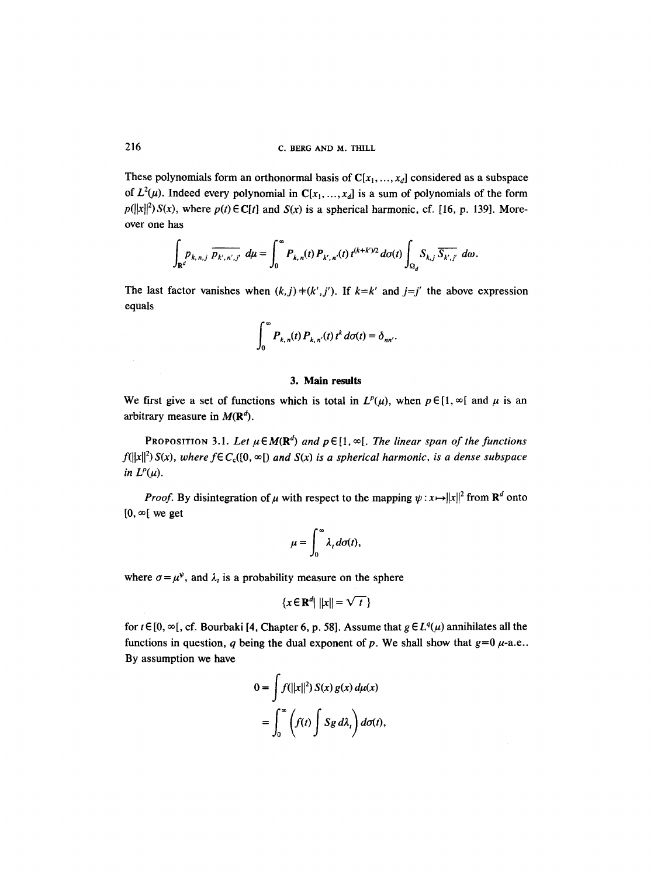These polynomials form an orthonormal basis of  $C[x_1, ..., x_d]$  considered as a subspace of  $L^2(\mu)$ . Indeed every polynomial in  $C[x_1, ..., x_d]$  is a sum of polynomials of the form  $p(||x||^2)S(x)$ , where  $p(t) \in C[t]$  and  $S(x)$  is a spherical harmonic, cf. [16, p. 139]. Moreover one has

$$
\int_{\mathbf{R}^d} p_{k,n,j} \, \overline{p_{k',n',j'}} \, d\mu = \int_0^\infty P_{k,n}(t) \, P_{k',n'}(t) \, t^{(k+k')/2} \, d\sigma(t) \int_{\Omega_d} S_{k,j} \, \overline{S_{k',j'}} \, d\omega.
$$

The last factor vanishes when  $(k,j)$  +  $(k',j')$ . If  $k=k'$  and  $j=j'$  the above expression equals

$$
\int_0^\infty P_{k,n}(t) P_{k,n}(t) t^k d\sigma(t) = \delta_{nn'}.
$$

# **3. Main results**

We first give a set of functions which is total in  $L^p(\mu)$ , when  $p \in [1, \infty)$  and  $\mu$  is an arbitrary measure in  $M(\mathbb{R}^d)$ .

PROPOSITION 3.1. Let  $\mu \in M(\mathbb{R}^d)$  and  $p \in [1, \infty[$ . The linear span of the functions  $f(||x||^2) S(x)$ , where  $f \in C_c([0, \infty[)$  and  $S(x)$  is a spherical harmonic, is a dense subspace *in*  $L^p(\mu)$ *.* 

*Proof.* By disintegration of  $\mu$  with respect to the mapping  $\psi : x \mapsto ||x||^2$  from  $\mathbb{R}^d$  onto  $[0, \infty[$  we get

$$
\mu=\int_0^\infty \lambda_t d\sigma(t),
$$

where  $\sigma = \mu^{\psi}$ , and  $\lambda_t$  is a probability measure on the sphere

$$
\{x \in \mathbf{R}^d \mid ||x|| = \sqrt{t}\}
$$

for  $t \in [0, \infty)$ , cf. Bourbaki [4, Chapter 6, p. 58]. Assume that  $g \in L^q(\mu)$  annihilates all the functions in question, q being the dual exponent of p. We shall show that  $g=0 \mu$ -a.e.. By assumption we have

$$
0 = \int f(||x||^2) S(x) g(x) d\mu(x)
$$
  
= 
$$
\int_0^{\infty} \left(f(t) \int Sg d\lambda_t\right) d\sigma(t),
$$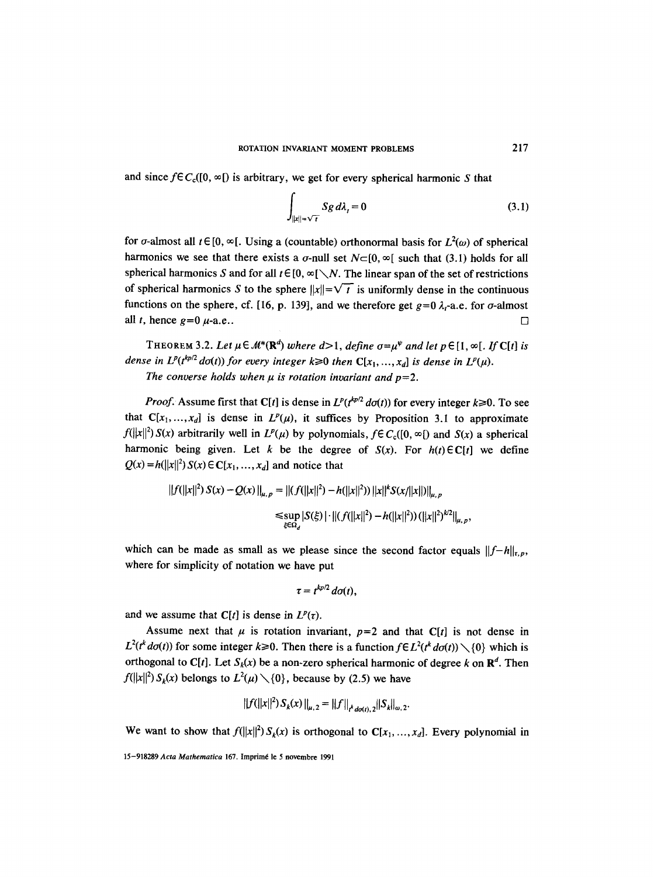and since  $f \in C_c([0, \infty))$  is arbitrary, we get for every spherical harmonic S that

$$
\int_{\|x\|=\sqrt{t}} Sg \, d\lambda_t = 0 \tag{3.1}
$$

for  $\sigma$ -almost all  $t \in [0, \infty)$ . Using a (countable) orthonormal basis for  $L^2(\omega)$  of spherical harmonics we see that there exists a  $\sigma$ -null set  $N\square$  [0,  $\infty$ [ such that (3.1) holds for all spherical harmonics S and for all  $t \in [0, \infty) \setminus N$ . The linear span of the set of restrictions of spherical harmonics S to the sphere  $||x|| = \sqrt{t}$  is uniformly dense in the continuous functions on the sphere, cf. [16, p. 139], and we therefore get  $g=0 \lambda_t$ -a.e. for  $\sigma$ -almost all t, hence  $g=0$   $\mu$ -a.e..  $\Box$ 

THEOREM 3.2. Let  $\mu \in M^*(\mathbb{R}^d)$  where  $d>1$ , define  $\sigma = \mu^{\psi}$  and let  $p \in [1, \infty)$ . If C[t] is *dense in*  $L^p(t^{kp/2} d\sigma(t))$  *for every integer k* $\geq 0$  then  $C[x_1, ..., x_d]$  is dense in  $L^p(\mu)$ . The converse holds when  $\mu$  is rotation invariant and  $p=2$ .

*Proof.* Assume first that C[t] is dense in  $L^p(t^{kp/2} d\sigma(t))$  for every integer  $k \ge 0$ . To see that  $C[x_1, ..., x_d]$  is dense in  $L^p(\mu)$ , it suffices by Proposition 3.1 to approximate  $f(||x||^2) S(x)$  arbitrarily well in  $L^p(\mu)$  by polynomials,  $f \in C_c([0, \infty[)$  and  $S(x)$  a spherical harmonic being given. Let k be the degree of  $S(x)$ . For  $h(t) \in C[t]$  we define  $Q(x) = h(||x||^2) S(x) \in C[x_1, ..., x_d]$  and notice that

$$
||f(||x||^2) S(x) - Q(x)||_{\mu, p} = ||(f(||x||^2) - h(||x||^2))||x||^k S(x/||x||)||_{\mu, p}
$$
  
\n
$$
\leq \sup_{\xi \in \Omega_d} |S(\xi)| \cdot ||(f(||x||^2) - h(||x||^2)) (||x||^2)^{k/2}||_{\mu, p},
$$

which can be made as small as we please since the second factor equals  $||f-h||_{r,p}$ , where for simplicity of notation we have put

$$
\tau = t^{kp/2} d\sigma(t),
$$

and we assume that  $C[t]$  is dense in  $L^p(\tau)$ .

Assume next that  $\mu$  is rotation invariant,  $p=2$  and that C[t] is not dense in  $L^2(t^k d\sigma(t))$  for some integer  $k \ge 0$ . Then there is a function  $f \in L^2(t^k d\sigma(t)) \setminus \{0\}$  which is orthogonal to C[t]. Let  $S_k(x)$  be a non-zero spherical harmonic of degree k on  $\mathbb{R}^d$ . Then  $f(||x||^2) S_k(x)$  belongs to  $L^2(\mu) \setminus \{0\}$ , because by (2.5) we have

$$
||f(||x||^2) S_k(x) ||_{\mu,2} = ||f||_{\mu_{dof(t),2}} ||S_k||_{\omega,2}.
$$

We want to show that  $f(||x||^2) S_k(x)$  is orthogonal to  $C[x_1, ..., x_d]$ . Every polynomial in

<sup>15-918289</sup> Acta Mathematica 167. Imprimé le 5 novembre 1991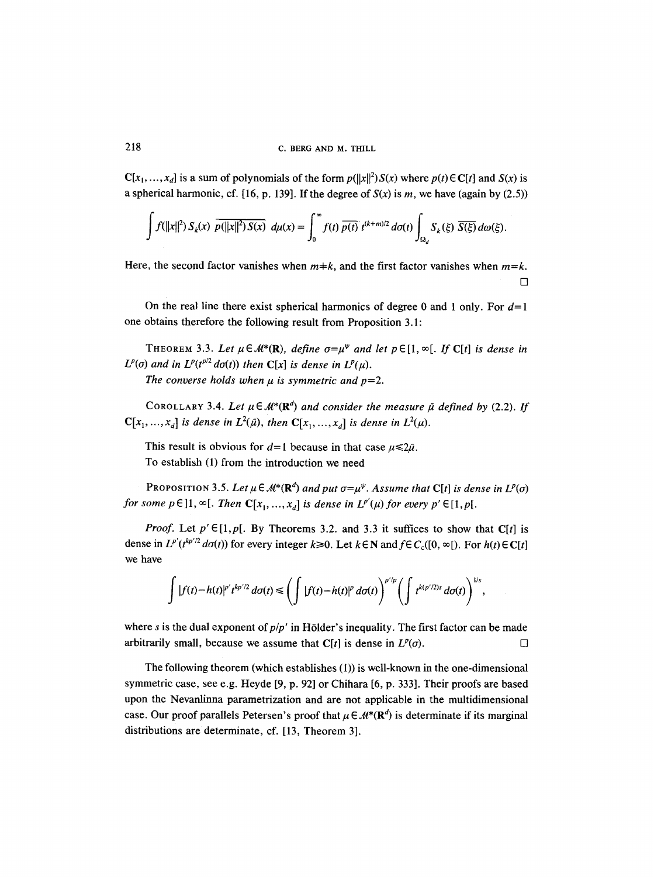$C[x_1, ..., x_d]$  is a sum of polynomials of the form  $p(||x||^2) S(x)$  where  $p(t) \in C[t]$  and  $S(x)$  is a spherical harmonic, cf. [16, p. 139]. If the degree of  $S(x)$  is m, we have (again by (2.5))

$$
\int f(||x||^2) S_k(x) \, \overline{p(||x||^2) S(x)} \, d\mu(x) = \int_0^\infty f(t) \, \overline{p(t)} \, t^{(k+m)/2} \, d\sigma(t) \int_{\Omega_d} S_k(\xi) \, \overline{S(\xi)} \, d\omega(\xi).
$$

Here, the second factor vanishes when  $m+k$ , and the first factor vanishes when  $m=k$ .  $\Box$ 

On the real line there exist spherical harmonics of degree 0 and 1 only. For  $d=1$ one obtains therefore the following result from Proposition 3.1:

THEOREM 3.3. Let  $\mu \in M^*(\mathbf{R})$ , define  $\sigma = \mu^{\psi}$  and let  $p \in [1, \infty[$ . If C[t] is dense in  $L^p(\sigma)$  and in  $L^p(t^{p/2} d\sigma(t))$  then  $\mathbb{C}[x]$  *is dense in*  $L^p(\mu)$ *.* 

The converse holds when  $\mu$  is symmetric and  $p=2$ .

COROLLARY 3.4. Let  $\mu \in M^*(\mathbf{R}^d)$  and consider the measure  $\tilde{\mu}$  defined by (2.2). If  $\mathbb{C}[x_1, ..., x_d]$  is dense in  $L^2(\tilde{\mu})$ , then  $\mathbb{C}[x_1, ..., x_d]$  is dense in  $L^2(\mu)$ .

This result is obvious for  $d=1$  because in that case  $\mu \le 2\mu$ . To establish (1) from the introduction we need

PROPOSITION 3.5. Let  $\mu \in M^*(\mathbb{R}^d)$  and put  $\sigma = \mu^{\psi}$ . Assume that C[t] *is dense in L<sup>p</sup>(o) for some p* $\in$ ]1,  $\infty$ [. *Then*  $\mathbb{C}[x_1, ..., x_d]$  *is dense in*  $L^{p'}(\mu)$  *for every p'*  $\in$  [1, *p*[.

*Proof.* Let  $p' \in [1, p]$ . By Theorems 3.2. and 3.3 it suffices to show that  $C[t]$  is dense in  $L^{p'}(t^{kp'/2} d\sigma(t))$  for every integer  $k \ge 0$ . Let  $k \in \mathbb{N}$  and  $f \in C_c([0, \infty])$ . For  $h(t) \in C[t]$ we have

$$
\int |f(t)-h(t)|^{p'}t^{kp'/2} d\sigma(t) \leq \left(\int |f(t)-h(t)|^p d\sigma(t)\right)^{p'/p} \left(\int t^{k(p'/2)s} d\sigma(t)\right)^{1/s},
$$

where s is the dual exponent of  $p/p'$  in Hölder's inequality. The first factor can be made arbitrarily small, because we assume that  $C[t]$  is dense in  $L^p(\sigma)$ .

The following theorem (which establishes (1)) is well-known in the one-dimensional symmetric case, see e.g. Heyde [9, p. 92] or Chihara [6, p. 333]. Their proofs are based upon the Nevanlinna parametrization and are not applicable in the multidimensional case. Our proof parallels Petersen's proof that  $\mu \in \mathcal{M}^*(\mathbb{R}^d)$  is determinate if its marginal distributions are determinate, cf. [13, Theorem 3].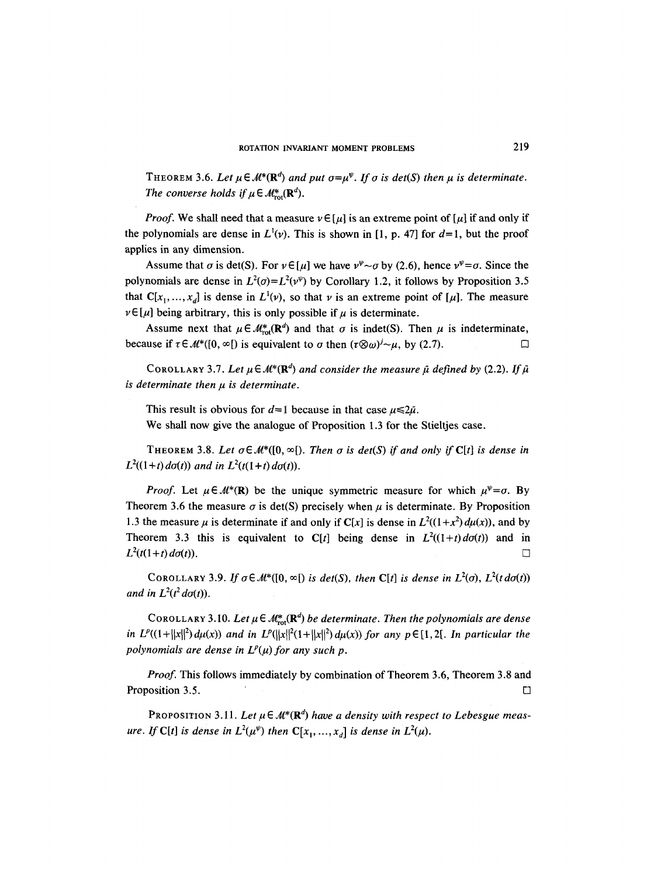THEOREM 3.6. Let  $\mu \in M^*(\mathbb{R}^d)$  and put  $\sigma = \mu^{\psi}$ . If  $\sigma$  is det(S) then  $\mu$  is determinate. *The converse holds if*  $\mu \in M_{\text{rot}}^{*}(\mathbf{R}^{d})$ .

*Proof.* We shall need that a measure  $v \in [\mu]$  is an extreme point of  $[\mu]$  if and only if the polynomials are dense in  $L^1(v)$ . This is shown in [1, p. 47] for  $d=1$ , but the proof applies in any dimension.

Assume that  $\sigma$  is det(S). For  $\nu \in [\mu]$  we have  $\nu^{\nu} \sim \sigma$  by (2.6), hence  $\nu^{\nu} = \sigma$ . Since the polynomials are dense in  $L^2(\sigma) = L^2(\nu^{\psi})$  by Corollary 1.2, it follows by Proposition 3.5 that  $C[x_1, ..., x_d]$  is dense in  $L^1(v)$ , so that v is an extreme point of [µ]. The measure  $\nu \in [\mu]$  being arbitrary, this is only possible if  $\mu$  is determinate.

Assume next that  $\mu \in \mathcal{M}_{\text{rot}}^*(\mathbb{R}^d)$  and that  $\sigma$  is indet(S). Then  $\mu$  is indeterminate, because if  $\tau \in \mathcal{M}^*([0, \infty])$  is equivalent to  $\sigma$  then  $(\tau \otimes \omega)^j \sim \mu$ , by (2.7).

COROLLARY 3.7. Let  $\mu \in M^*(\mathbb{R}^d)$  and consider the measure  $\tilde{\mu}$  defined by (2.2). If  $\tilde{\mu}$  $i$ *s* determinate then  $\mu$  *is determinate.* 

This result is obvious for  $d=1$  because in that case  $\mu \le 2\tilde{\mu}$ .

We shall now give the analogue of Proposition 1.3 for the Stieltjes case.

THEOREM 3.8. Let  $\sigma \in \mathcal{M}^*([0, \infty])$ . Then  $\sigma$  is det(S) if and only if C[t] is dense in  $L^2((1+t) \, d\sigma(t))$  and in  $L^2(t(1+t) \, d\sigma(t))$ .

*Proof.* Let  $\mu \in M^*(\mathbb{R})$  be the unique symmetric measure for which  $\mu^{\psi} = \sigma$ . By Theorem 3.6 the measure  $\sigma$  is det(S) precisely when  $\mu$  is determinate. By Proposition 1.3 the measure  $\mu$  is determinate if and only if *C*[x] is dense in  $L^2((1 + x^2) d\mu(x))$ , and by Theorem 3.3 this is equivalent to  $C[t]$  being dense in  $L^2((1+t) d\sigma(t))$  and in  $L^2(t(1+t) d\sigma(t))$ .

COROLLARY 3.9. If  $\sigma \in M^*(0, \infty)$  *is det(S), then* C[t] *is dense in L*<sup>2</sup>( $\sigma$ ), L<sup>2</sup>(t d $\sigma$ (t)) *and in*  $L^2(t^2 d\sigma(t))$ .

COROLLARY 3.10. Let  $\mu \in M_{rot}^*(\mathbf{R}^d)$  *be determinate. Then the polynomials are dense in*  $L^p((1+||x||^2) d\mu(x))$  *and in*  $L^p(||x||^2(1+||x||^2) d\mu(x))$  *for any p*  $\in$  [1, 2[. *In particular the polynomials are dense in*  $L^p(\mu)$  *for any such p.* 

*Proof.* This follows immediately by combination of Theorem 3.6, Theorem 3.8 and **Proposition 3.5.**  $\Box$ 

PROPOSITION 3.11. Let  $\mu \in \mathcal{M}^*(\mathbb{R}^d)$  *have a density with respect to Lebesgue measure. If* C[t] is dense in  $L^2(\mu^{\psi})$  then C[ $x_1, ..., x_d$ ] is dense in  $L^2(\mu)$ .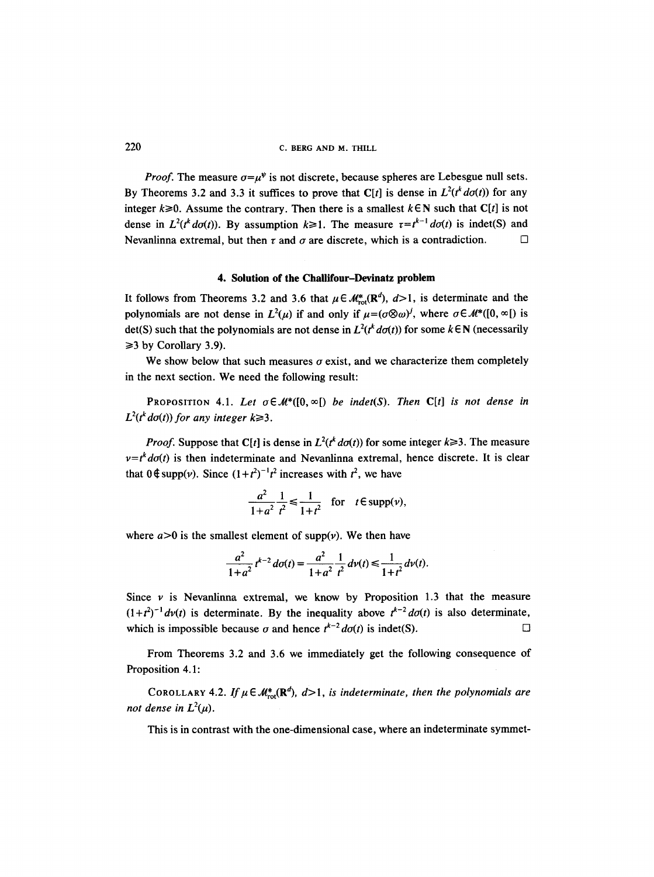220 C. BERG AND M. THILL

*Proof.* The measure  $\sigma = u^{\psi}$  is not discrete, because spheres are Lebesgue null sets. By Theorems 3.2 and 3.3 it suffices to prove that C[t] is dense in  $L^2(t^k d\sigma(t))$  for any integer  $k \ge 0$ . Assume the contrary. Then there is a smallest  $k \in \mathbb{N}$  such that C[t] is not dense in  $L^2(t^k d\sigma(t))$ . By assumption  $k \ge 1$ . The measure  $\tau = t^{k-1} d\sigma(t)$  is indet(S) and Nevanlinna extremal, but then  $\tau$  and  $\sigma$  are discrete, which is a contradiction.  $\Box$ 

## **4. Solution of the Challifour-Devinatz problem**

It follows from Theorems 3.2 and 3.6 that  $\mu \in \mathcal{M}^*_{\text{rot}}(\mathbf{R}^d)$ ,  $d>1$ , is determinate and the polynomials are not dense in  $L^2(\mu)$  if and only if  $\mu = (\sigma \otimes \omega)^j$ , where  $\sigma \in \mathcal{M}^*([0, \infty])$  is det(S) such that the polynomials are not dense in  $L^2(t^k \, d\sigma(t))$  for some  $k \in \mathbb{N}$  (necessarily  $\geq$ 3 by Corollary 3.9).

We show below that such measures  $\sigma$  exist, and we characterize them completely in the next section. We need the following result:

PROPOSITION 4.1. Let  $\sigma \in \mathcal{M}^*([0, \infty])$  *be indet(S). Then* C[t] *is not dense in*  $L^2(t^k d\sigma(t))$  for any integer  $k \ge 3$ .

*Proof.* Suppose that C[t] is dense in  $L^2(t^k d\sigma(t))$  for some integer  $k \ge 3$ . The measure  $v = t<sup>k</sup> d\sigma(t)$  is then indeterminate and Nevanlinna extremal, hence discrete. It is clear that  $0 \notin \text{supp}(\nu)$ . Since  $(1+t^2)^{-1}t^2$  increases with  $t^2$ , we have

$$
\frac{a^2}{1+a^2}\frac{1}{t^2} \le \frac{1}{1+t^2} \quad \text{for} \quad t \in \text{supp}(\nu),
$$

where  $a > 0$  is the smallest element of supp(v). We then have

$$
\frac{a^2}{1+a^2}t^{k-2}d\sigma(t)=\frac{a^2}{1+a^2}\frac{1}{t^2}d\nu(t)\leq \frac{1}{1+t^2}d\nu(t).
$$

Since  $\nu$  is Nevanlinna extremal, we know by Proposition 1.3 that the measure  $(1+t^2)^{-1}dv(t)$  is determinate. By the inequality above  $t^{k-2}d\sigma(t)$  is also determinate, which is impossible because  $\sigma$  and hence  $t^{k-2} d\sigma(t)$  is indet(S).

From Theorems 3.2 and 3.6 we immediately get the following consequence of Proposition 4.1:

COROLLARY 4.2. If  $\mu \in M^*_{\text{rot}}(\mathbb{R}^d)$ ,  $d>1$ , *is indeterminate*, then the polynomials are *not dense in*  $L^2(\mu)$ .

This is in contrast with the one-dimensional case, where an indeterminate symmet-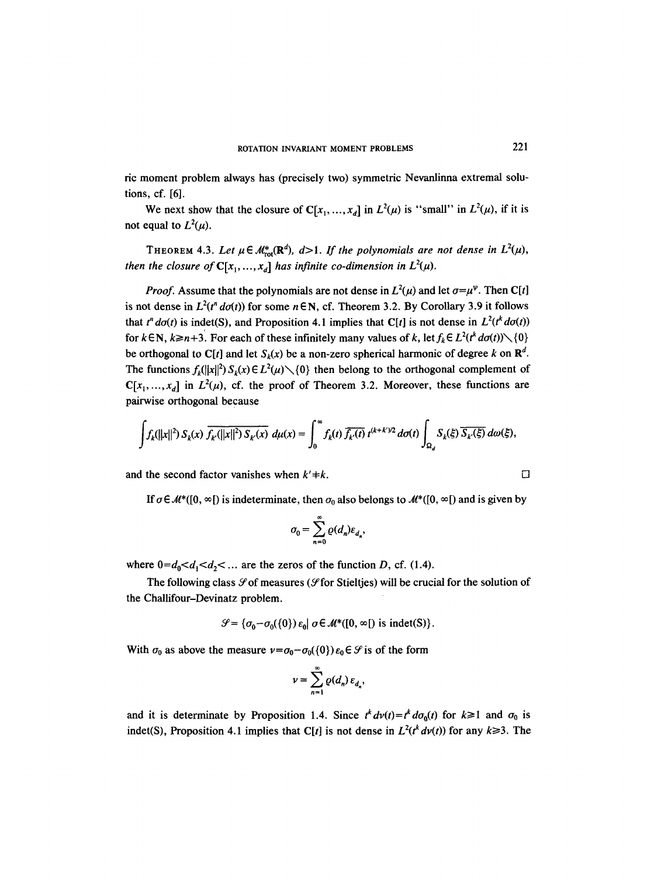ric moment problem always has (precisely two) symmetric Nevanlinna extremal solutions, cf. [6].

We next show that the closure of  $C[x_1, ..., x_d]$  in  $L^2(\mu)$  is "small" in  $L^2(\mu)$ , if it is not equal to  $L^2(\mu)$ .

THEOREM 4.3. Let  $\mu \in M_{rot}^*(\mathbf{R}^d)$ ,  $d>1$ . If the polynomials are not dense in  $L^2(\mu)$ , *then the closure of*  $C[x_1, ..., x_d]$  *has infinite co-dimension in*  $L^2(\mu)$ *.* 

*Proof.* Assume that the polynomials are not dense in  $L^2(\mu)$  and let  $\sigma = \mu^{\psi}$ . Then C[t] is not dense in  $L^2(t^n d\sigma(t))$  for some  $n \in \mathbb{N}$ , cf. Theorem 3.2. By Corollary 3.9 it follows that  $t^n d\sigma(t)$  is indet(S), and Proposition 4.1 implies that C[t] is not dense in  $L^2(t^k d\sigma(t))$ for  $k \in \mathbb{N}$ ,  $k \ge n+3$ . For each of these infinitely many values of k, let  $f_k \in L^2(t^k d\sigma(t)) \setminus \{0\}$ be orthogonal to C[t] and let  $S_k(x)$  be a non-zero spherical harmonic of degree k on  $\mathbb{R}^d$ . The functions  $f_k(||x||^2) S_k(x) \in L^2(\mu) \setminus \{0\}$  then belong to the orthogonal complement of  $C[x_1, ..., x_d]$  in  $L^2(\mu)$ , cf. the proof of Theorem 3.2. Moreover, these functions are pairwise orthogonal because

$$
\int f_k(||x||^2) S_k(x) \overline{f_{k'}(||x||^2) S_{k'}(x)} d\mu(x) = \int_0^\infty f_k(t) \overline{f_{k'}(t)} t^{(k+k')/2} d\sigma(t) \int_{\Omega_d} S_k(\xi) \overline{S_{k'}(\xi)} d\omega(\xi),
$$

and the second factor vanishes when  $k'+k$ .

If  $\sigma \in \mathcal{M}^*([0, \infty])$  is indeterminate, then  $\sigma_0$  also belongs to  $\mathcal{M}^*([0, \infty])$  and is given by

$$
\sigma_0 = \sum_{n=0}^{\infty} \varrho(d_n) \varepsilon_{d_n},
$$

where  $0=d_0 < d_1 < d_2 < ...$  are the zeros of the function D, cf. (1.4).

The following class  $\mathcal S$  of measures ( $\mathcal S$  for Stieltjes) will be crucial for the solution of the Challifour-Devinatz problem.

$$
\mathcal{G} = \{ \sigma_0 - \sigma_0(\{0\}) \varepsilon_0 \mid \sigma \in \mathcal{M}^*([0, \infty[)
$$
 is indet(S) \}.

With  $\sigma_0$  as above the measure  $\nu = \sigma_0 - \sigma_0({0})e_0 \in \mathcal{S}$  is of the form

$$
\nu=\sum_{n=1}^\infty \varrho(d_n)\,\varepsilon_{d_n},
$$

and it is determinate by Proposition 1.4. Since  $t^k dv(t) = t^k d\sigma_0(t)$  for  $k \ge 1$  and  $\sigma_0$  is indet(S), Proposition 4.1 implies that C[t] is not dense in  $L^2(t^k dv(t))$  for any  $k \ge 3$ . The

$$
\cup
$$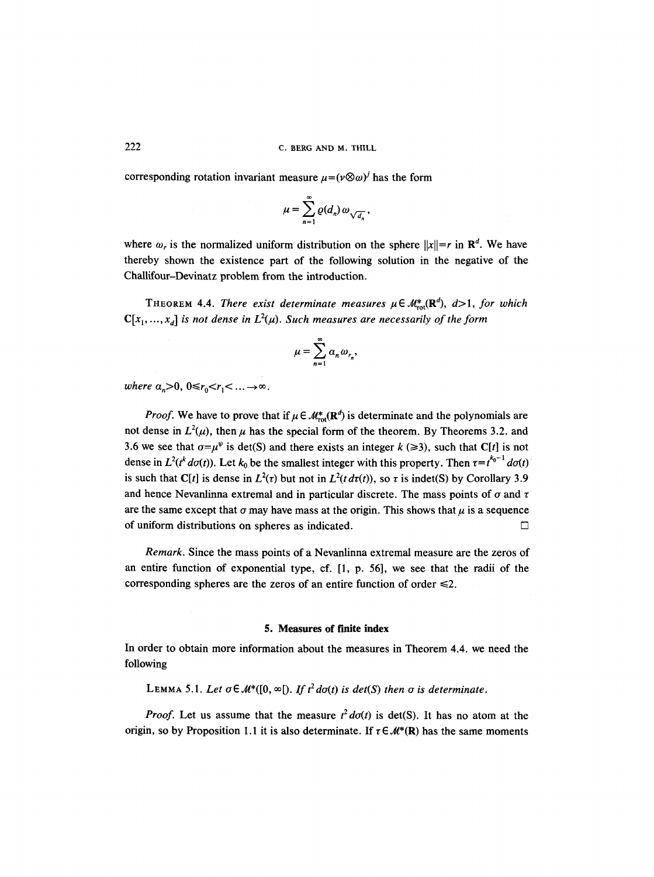corresponding rotation invariant measure  $u=(v\otimes \omega)^j$  has the form

$$
\mu=\sum_{n=1}^\infty \varrho(d_n)\,\omega_{\sqrt{d_n}},
$$

where  $\omega_r$  is the normalized uniform distribution on the sphere  $||x||=r$  in  $\mathbb{R}^d$ . We have thereby shown the existence part of the following solution in the negative of the Challifour-Devinatz problem from the introduction.

THEOREM 4.4. *There exist determinate measures*  $\mu \in M_{rot}^*(\mathbb{R}^d)$ ,  $d>1$ , *for which*  $C[x_1, ..., x_d]$  is not dense in  $L^2(\mu)$ . Such measures are necessarily of the form

$$
\mu = \sum_{n=1}^{\infty} \alpha_n \omega_{r_n},
$$

*where*  $\alpha_n>0$ ,  $0\leq r_0 < r_1 < \ldots \to \infty$ .

*Proof.* We have to prove that if  $\mu \in M^*_{\text{rot}}(\mathbb{R}^d)$  is determinate and the polynomials are not dense in  $L^2(\mu)$ , then  $\mu$  has the special form of the theorem. By Theorems 3.2. and 3.6 we see that  $\sigma = \mu^{\psi}$  is det(S) and there exists an integer  $k \approx 3$ , such that C[t] is not dense in  $L^2(t^k d\sigma(t))$ . Let  $k_0$  be the smallest integer with this property. Then  $\tau = t^{k_0-1} d\sigma(t)$ is such that C[t] is dense in  $L^2(\tau)$  but not in  $L^2(t d\tau(t))$ , so  $\tau$  is indet(S) by Corollary 3.9 and hence Nevanlinna extremal and in particular discrete. The mass points of  $\sigma$  and  $\tau$ are the same except that  $\sigma$  may have mass at the origin. This shows that  $\mu$  is a sequence of uniform distributions on spheres as indicated.  $\Box$ 

*Remark.* Since the mass points of a Nevanlinna extremal measure are the zeros of an entire function of exponential type, cf. [1, p. 56], we see that the radii of the corresponding spheres are the zeros of an entire function of order  $\leq 2$ .

#### **5. Measures of finite index**

In order to obtain more information about the measures in Theorem 4.4. we need the following

LEMMA 5.1. Let  $\sigma \in \mathcal{M}^*([0,\infty])$ . If  $t^2 d\sigma(t)$  is det(S) then  $\sigma$  is determinate.

*Proof.* Let us assume that the measure  $t^2 d\sigma(t)$  is det(S). It has no atom at the origin, so by Proposition 1.1 it is also determinate. If  $\tau \in \mathcal{M}^*(\mathbb{R})$  has the same moments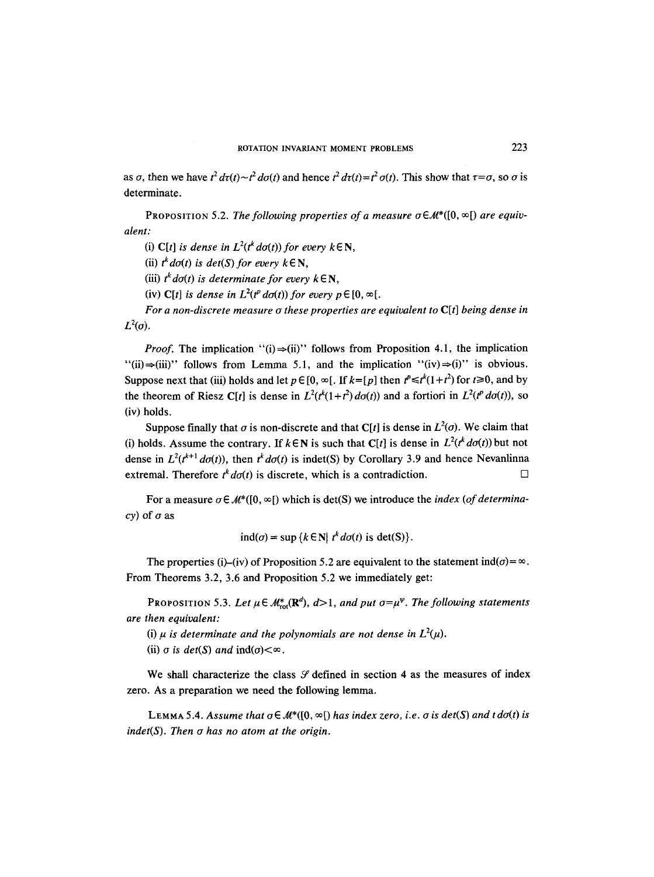as  $\sigma$ , then we have  $t^2 d\tau(t)-t^2 d\sigma(t)$  and hence  $t^2 d\tau(t)=t^2 \sigma(t)$ . This show that  $\tau = \sigma$ , so  $\sigma$  is determinate.

PROPOSITION 5.2. The following properties of a measure  $\sigma \in \mathcal{M}^*([0,\infty])$  are equiv*alent:* 

(i)  $C[t]$  *is dense in*  $L^2(t^k d\sigma(t))$  for every  $k \in \mathbb{N}$ ,

(ii)  $t^k d\sigma(t)$  is  $det(S)$  for every  $k \in \mathbb{N}$ ,

(iii)  $t^k d\sigma(t)$  is determinate for every  $k \in \mathbb{N}$ ,

(iv) C[t] *is dense in*  $L^2(t^p d\sigma(t))$  *for every p*  $\in$  [0,  $\infty$ [.

*For a non-discrete measure o these properties are equivalent to C[t] being dense in*  $L^2(\sigma)$ .

*Proof.* The implication "(i) $\Rightarrow$ (ii)" follows from Proposition 4.1, the implication "(ii) $\Rightarrow$ (iii)" follows from Lemma 5.1, and the implication "(iv) $\Rightarrow$ (i)" is obvious. Suppose next that (iii) holds and let  $p \in [0, \infty)$ . If  $k = [p]$  then  $t^p \le t^k(1+t^2)$  for  $t \ge 0$ , and by the theorem of Riesz C[t] is dense in  $L^2(t^k(1 + t^2) d\sigma(t))$  and a fortiori in  $L^2(t^p d\sigma(t))$ , so (iv) holds.

Suppose finally that  $\sigma$  is non-discrete and that C[t] is dense in  $L^2(\sigma)$ . We claim that (i) holds. Assume the contrary. If  $k \in \mathbb{N}$  is such that C[t] is dense in  $L^2(t^k d\sigma(t))$  but not dense in  $L^2(t^{k+1}d\sigma(t))$ , then  $t^k d\sigma(t)$  is indet(S) by Corollary 3.9 and hence Nevanlinna extremal. Therefore  $t^{k}d\sigma(t)$  is discrete, which is a contradiction.  $\Box$ 

For a measure  $\sigma \in \mathcal{M}^*([0, \infty])$  which is det(S) we introduce the *index* (of determina*cy*) of  $\sigma$  as

$$
ind(\sigma) = \sup \{ k \in \mathbb{N} | t^k d\sigma(t) \text{ is det}(S) \}.
$$

The properties (i)–(iv) of Proposition 5.2 are equivalent to the statement  $\text{ind}(\sigma) = \infty$ . From Theorems 3.2, 3.6 and Proposition 5.2 we immediately get:

PROPOSITION 5.3. Let  $\mu \in \mathcal{M}_{rot}^*(\mathbb{R}^d)$ ,  $d>1$ , and put  $\sigma = \mu^{\psi}$ . The following statements *are then equivalent:* 

(i)  $\mu$  *is determinate and the polynomials are not dense in*  $L^2(\mu)$ .

(ii)  $\sigma$  *is det(S) and*  $\text{ind}(\sigma) < \infty$ .

We shall characterize the class  $\mathcal G$  defined in section 4 as the measures of index zero. As a preparation we need the following lemma.

LEMMA 5.4. Assume that  $\sigma \in \mathcal{M}^*([0,\infty])$  has index zero, i.e.  $\sigma$  is  $det(S)$  and t  $d\sigma(t)$  is *indet(S). Then o has no atom at the origin.*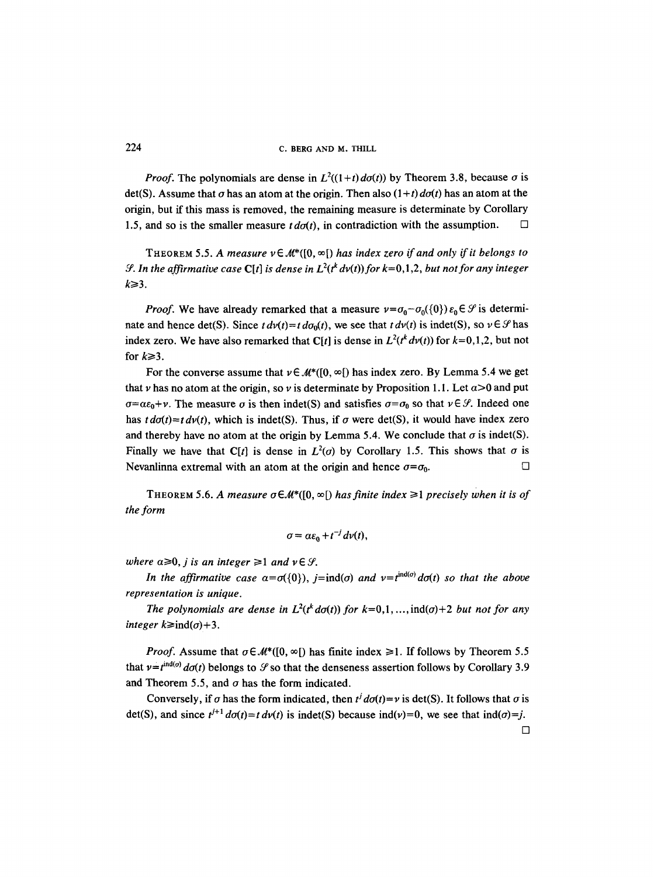*Proof.* The polynomials are dense in  $L^2((1+t) d\sigma(t))$  by Theorem 3.8, because  $\sigma$  is det(S). Assume that  $\sigma$  has an atom at the origin. Then also  $(1+t)$  *do(t)* has an atom at the origin, but if this mass is removed, the remaining measure is determinate by Corollary 1.5, and so is the smaller measure  $td\sigma(t)$ , in contradiction with the assumption.  $\Box$ 

THEOREM 5.5. A measure  $v \in M^*(0, \infty)$  has index zero if and only if it belongs to *S*. In the affirmative case  $C[t]$  is dense in  $L^2(t^k dv(t))$  for  $k=0,1,2$ , but not for any integer  $k \geq 3$ .

*Proof.* We have already remarked that a measure  $v = \sigma_0 - \sigma_0({0}) \varepsilon_0 \in \mathcal{S}$  is determinate and hence det(S). Since  $t dv(t) = t d\sigma_0(t)$ , we see that  $t dv(t)$  is indet(S), so  $v \in \mathcal{S}$  has index zero. We have also remarked that C[t] is dense in  $L^2(t^k dv(t))$  for  $k=0,1,2$ , but not for  $k \geq 3$ .

For the converse assume that  $v \in M^*([0, \infty])$  has index zero. By Lemma 5.4 we get that v has no atom at the origin, so v is determinate by Proposition 1.1. Let  $\alpha > 0$  and put  $\sigma = \alpha \epsilon_0 + \nu$ . The measure  $\sigma$  is then indet(S) and satisfies  $\sigma = \sigma_0$  so that  $\nu \in \mathcal{S}$ . Indeed one has  $t \, d\sigma(t) = t \, d\nu(t)$ , which is indet(S). Thus, if  $\sigma$  were det(S), it would have index zero and thereby have no atom at the origin by Lemma 5.4. We conclude that  $\sigma$  is indet(S). Finally we have that C[t] is dense in  $L^2(\sigma)$  by Corollary 1.5. This shows that  $\sigma$  is Nevanlinna extremal with an atom at the origin and hence  $\sigma = \sigma_0$ .

THEOREM 5.6. A measure  $\sigma \in \mathcal{M}^*([0,\infty])$  has finite index  $\geq 1$  precisely when it is of *the form* 

$$
\sigma = \alpha \varepsilon_0 + t^{-j} dv(t),
$$

*where*  $a \ge 0$ *, j is an integer*  $\ge 1$  *and*  $v \in \mathcal{G}$ *.* 

*In the affirmative case*  $\alpha = \sigma({0})$ ,  $j = ind(\sigma)$  *and*  $\nu = t^{ind(\sigma)} d\sigma(t)$  *so that the above representation is unique.* 

*The polynomials are dense in*  $L^2(t^k d\sigma(t))$  *for k*=0,1,..., ind( $\sigma$ )+2 *but not for any integer*  $k \geq \text{ind}(\sigma) + 3$ .

*Proof.* Assume that  $\sigma \in M^*([0, \infty])$  has finite index  $\geq 1$ . If follows by Theorem 5.5 that  $v = t^{\text{ind}(\sigma)} d\sigma(t)$  belongs to  $\mathcal{S}$  so that the denseness assertion follows by Corollary 3.9 and Theorem 5.5, and  $\sigma$  has the form indicated.

Conversely, if  $\sigma$  has the form indicated, then  $t^j d\sigma(t)=v$  is det(S). It follows that  $\sigma$  is det(S), and since  $t^{j+1}$   $d\sigma(t) = t$   $d\nu(t)$  is indet(S) because ind(v)=0, we see that ind( $\sigma$ )=j.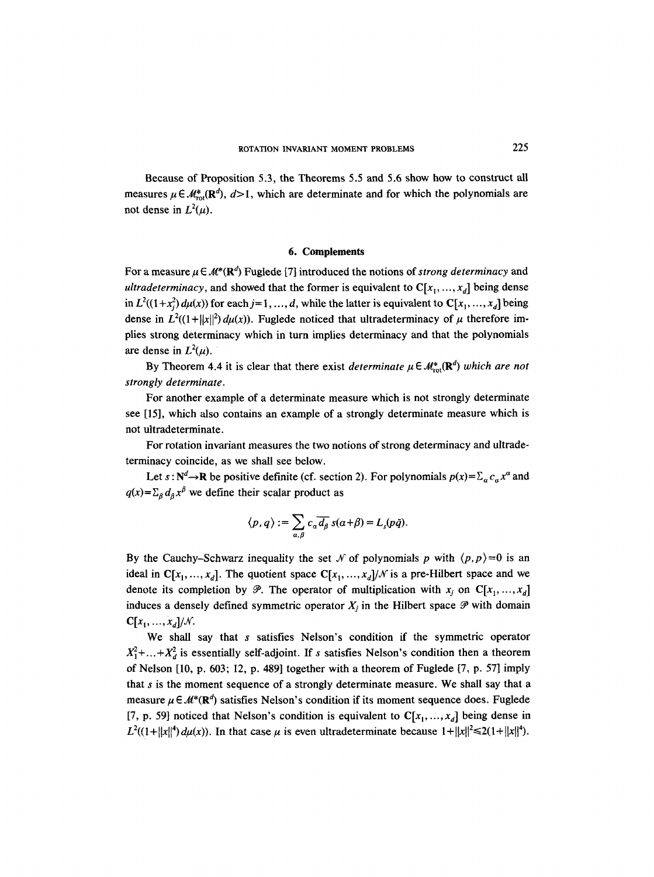Because of Proposition 5.3, the Theorems 5.5 and 5.6 show how to construct all measures  $\mu \in \mathcal{M}_{\text{tot}}^*(\mathbb{R}^d), d>1$ , which are determinate and for which the polynomials are not dense in  $L^2(\mu)$ .

## 6. Complements

For a measure  $\mu \in M^*({\bf R}^d)$  Fuglede [7] introduced the notions of *strong determinacy* and *ultradeterminacy,* and showed that the former is equivalent to  $C[x_1, ..., x_d]$  being dense in  $L^2((1+x_i^2) d\mu(x))$  for each  $j=1, ..., d$ , while the latter is equivalent to  $C[x_1, ..., x_d]$  being dense in  $L^2((1+||x||^2) d\mu(x))$ . Fuglede noticed that ultradeterminacy of  $\mu$  therefore implies strong determinacy which in turn implies determinacy and that the polynomials are dense in  $L^2(\mu)$ .

By Theorem 4.4 it is clear that there exist *determinate*  $\mu \in M_{rot}^*(\mathbb{R}^d)$  *which are not strongly determinate.* 

For another example of a determinate measure which is not strongly determinate see [15], which also contains an example of a strongly determinate measure which is not ultradeterminate.

For rotation invariant measures the two notions of strong determinacy and ultradeterminacy coincide, as we shall see below.

Let  $s : N^d \to \mathbb{R}$  be positive definite (cf. section 2). For polynomials  $p(x) = \sum_a c_a x^a$  and  $q(x) = \sum_{\beta} d_{\beta} x^{\beta}$  we define their scalar product as

$$
\langle p, q \rangle := \sum_{\alpha, \beta} c_{\alpha} \overline{d_{\beta}} \, s(\alpha + \beta) = L_s(p\tilde{q}).
$$

By the Cauchy-Schwarz inequality the set N of polynomials p with  $\langle p, p \rangle = 0$  is an ideal in  $C[x_1, ..., x_d]$ . The quotient space  $C[x_1, ..., x_d]/N$  is a pre-Hilbert space and we denote its completion by  $\mathcal{P}$ . The operator of multiplication with  $x_i$  on  $C[x_1, ..., x_d]$ induces a densely defined symmetric operator  $X_i$  in the Hilbert space  $\mathcal P$  with domain  $C[x_1, ..., x_d]/N$ .

We shall say that s satisfies Nelson's condition if the symmetric operator  $X_1^2$ +...+ $X_d^2$  is essentially self-adjoint. If s satisfies Nelson's condition then a theorem of Nelson [10, p. 603; 12, p. 489] together with a theorem of Fuglede [7, p. 57] imply that  $s$  is the moment sequence of a strongly determinate measure. We shall say that a measure  $\mu \in \mathcal{M}^*(\mathbb{R}^d)$  satisfies Nelson's condition if its moment sequence does. Fuglede [7, p. 59] noticed that Nelson's condition is equivalent to  $C[x_1, ..., x_d]$  being dense in  $L^2((1+||x||^4) d\mu(x))$ . In that case  $\mu$  is even ultradeterminate because  $1+||x||^2 \le 2(1+||x||^4)$ .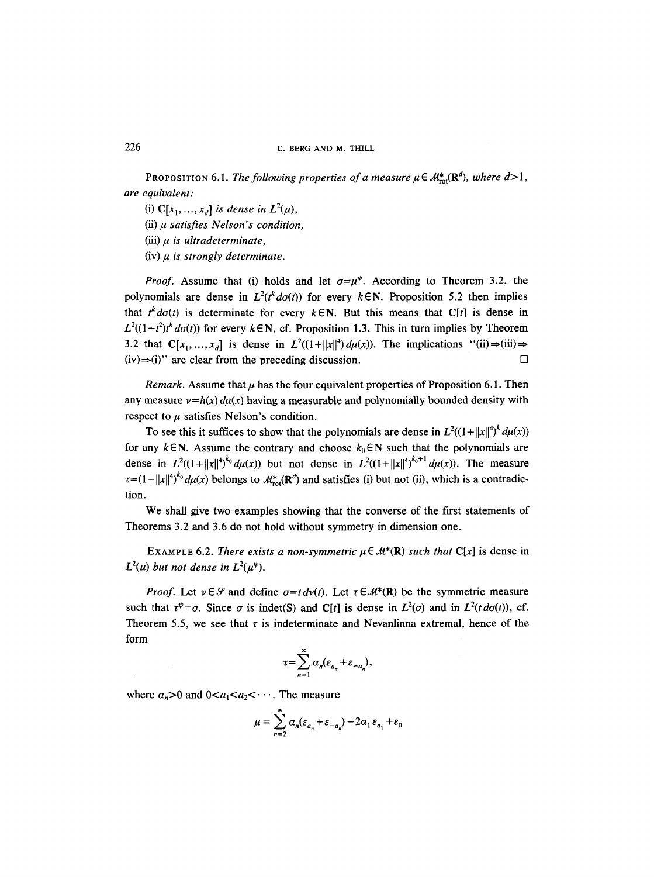# 226 C. BERG AND M. THILL

PROPOSITION 6.1. *The following properties of a measure*  $\mu \in M_{\text{rot}}^*(\mathbb{R}^d)$ , *where d*>1, *are equivalent:* 

(i)  $\mathbb{C}[x_1, ..., x_d]$  is dense in  $L^2(\mu)$ ,

(ii)  $\mu$  *satisfies Nelson's condition,* 

 $(iii)$   $\mu$  *is ultradeterminate*,

 $(iv)$   $\mu$  *is strongly determinate.* 

*Proof.* Assume that (i) holds and let  $\sigma = \mu^{\psi}$ . According to Theorem 3.2, the polynomials are dense in  $L^2(t^k \cdot d\sigma(t))$  for every  $k \in \mathbb{N}$ . Proposition 5.2 then implies that  $t^{k}d\sigma(t)$  is determinate for every  $k \in \mathbb{N}$ . But this means that C[t] is dense in  $L^2((1+t^2)t^k d\sigma(t))$  for every  $k \in \mathbb{N}$ , cf. Proposition 1.3. This in turn implies by Theorem 3.2 that  $C[x_1, ..., x_d]$  is dense in  $L^2((1+||x||^4)d\mu(x))$ . The implications "(ii) $\Rightarrow$ (iii) $\Rightarrow$  $(iv) \Rightarrow (i)$ " are clear from the preceding discussion.

*Remark.* Assume that  $\mu$  has the four equivalent properties of Proposition 6.1. Then any measure  $v=h(x) du(x)$  having a measurable and polynomially bounded density with respect to  $\mu$  satisfies Nelson's condition.

To see this it suffices to show that the polynomials are dense in  $L^2((1+||x||^4)^k d\mu(x))$ for any  $k \in N$ . Assume the contrary and choose  $k_0 \in N$  such that the polynomials are dense in  $L^2((1+||x||^4)^{k_0}d\mu(x))$  but not dense in  $L^2((1+||x||^4)^{k_0+1}d\mu(x))$ . The measure  $\tau=(1+||x||^4)^{k_0}d\mu(x)$  belongs to  $\mathcal{M}^*_{\text{rot}}(\mathbf{R}^d)$  and satisfies (i) but not (ii), which is a contradiction.

We shall give two examples showing that the converse of the first statements of Theorems 3.2 and 3.6 do not hold without symmetry in dimension one.

EXAMPLE 6.2. *There exists a non-symmetric*  $\mu \in M^*(\mathbb{R})$  *such that*  $C[x]$  is dense in  $L^2(\mu)$  but not dense in  $L^2(\mu^{\psi})$ .

*Proof.* Let  $v \in \mathcal{G}$  and define  $\sigma = t \, dv(t)$ . Let  $\tau \in \mathcal{M}^*(\mathbb{R})$  be the symmetric measure such that  $\tau^{\psi} = \sigma$ . Since  $\sigma$  is indet(S) and C[t] is dense in  $L^2(\sigma)$  and in  $L^2(t\,d\sigma(t))$ , cf. Theorem 5.5, we see that  $\tau$  is indeterminate and Nevanlinna extremal, hence of the form

$$
\tau = \sum_{n=1}^{\infty} \alpha_n (\varepsilon_{a_n} + \varepsilon_{-a_n}),
$$

where  $a_n > 0$  and  $0 < a_1 < a_2 < \cdots$ . The measure

$$
\mu = \sum_{n=2}^{\infty} \alpha_n (\varepsilon_{a_n} + \varepsilon_{-a_n}) + 2\alpha_1 \varepsilon_{a_1} + \varepsilon_0
$$